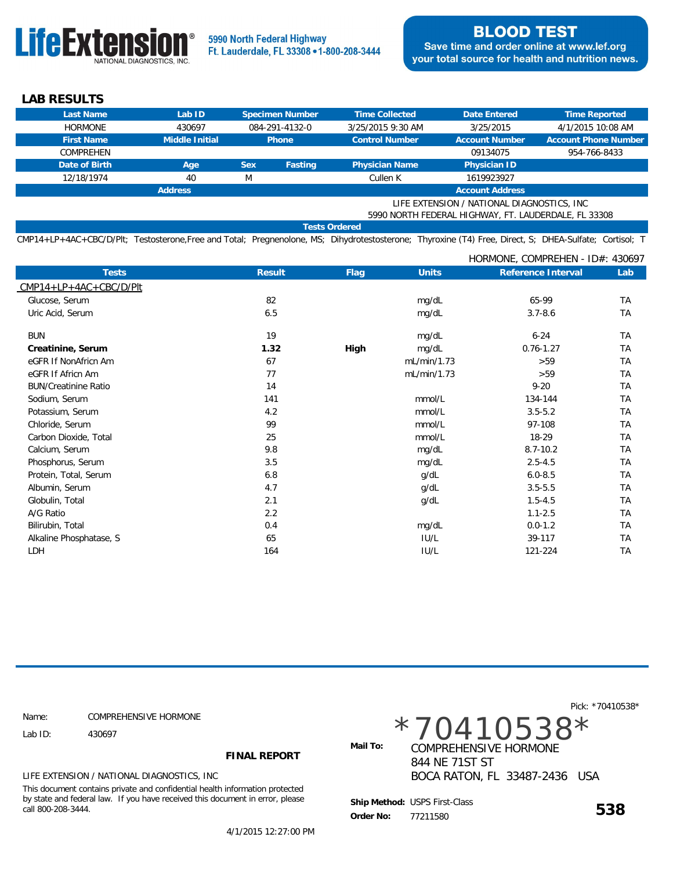

 **LAB RESULTS**

| Last Name                                            | Lab ID         |            | Specimen Number | <b>Time Collected</b> | Date Entered          | Time Reported               |  |
|------------------------------------------------------|----------------|------------|-----------------|-----------------------|-----------------------|-----------------------------|--|
| <b>HORMONE</b>                                       | 430697         |            | 084-291-4132-0  | 3/25/2015 9:30 AM     | 3/25/2015             | 4/1/2015 10:08 AM           |  |
| <b>First Name</b>                                    | Middle Initial |            | <b>Phone</b>    | <b>Control Number</b> | <b>Account Number</b> | <b>Account Phone Number</b> |  |
| COMPREHEN                                            |                |            |                 |                       | 09134075              | 954-766-8433                |  |
| Date of Birth                                        | Age            | <b>Sex</b> | Fasting         | <b>Physician Name</b> | Physician ID          |                             |  |
| 12/18/1974                                           | 40             | M          |                 | Cullen K              | 1619923927            |                             |  |
| <b>Account Address</b><br><b>Address</b>             |                |            |                 |                       |                       |                             |  |
| LIFE EXTENSION / NATIONAL DIAGNOSTICS, INC.          |                |            |                 |                       |                       |                             |  |
| 5990 NORTH FEDERAL HIGHWAY, FT. LAUDERDALE, FL 33308 |                |            |                 |                       |                       |                             |  |
| <b>Tests Ordered</b>                                 |                |            |                 |                       |                       |                             |  |

CMP14+LP+4AC+CBC/D/Plt; Testosterone,Free and Total; Pregnenolone, MS; Dihydrotestosterone; Thyroxine (T4) Free, Direct, S; DHEA-Sulfate; Cortisol; T

|                             |        |             |              | HORMONE, COMPREHEN - ID#: 430697 |           |
|-----------------------------|--------|-------------|--------------|----------------------------------|-----------|
| <b>Tests</b>                | Result | <b>Flag</b> | <b>Units</b> | Reference Interval               | Lab       |
| $CMP14+LP+4AC+CBC/D/Plt$    |        |             |              |                                  |           |
| Glucose, Serum              | 82     |             | mg/dL        | 65-99                            | <b>TA</b> |
| Uric Acid, Serum            | 6.5    |             | mg/dL        | $3.7 - 8.6$                      | <b>TA</b> |
| <b>BUN</b>                  | 19     |             | mg/dL        | $6 - 24$                         | <b>TA</b> |
| Creatinine, Serum           | 1.32   | High        | mg/dL        | $0.76 - 1.27$                    | <b>TA</b> |
| eGFR If NonAfricn Am        | 67     |             | mL/min/1.73  | >59                              | <b>TA</b> |
| eGFR If Africn Am           | 77     |             | mL/min/1.73  | >59                              | TA        |
| <b>BUN/Creatinine Ratio</b> | 14     |             |              | $9 - 20$                         | <b>TA</b> |
| Sodium, Serum               | 141    |             | mmol/L       | 134-144                          | <b>TA</b> |
| Potassium, Serum            | 4.2    |             | mmol/L       | $3.5 - 5.2$                      | <b>TA</b> |
| Chloride, Serum             | 99     |             | mmol/L       | 97-108                           | <b>TA</b> |
| Carbon Dioxide, Total       | 25     |             | mmol/L       | 18-29                            | <b>TA</b> |
| Calcium, Serum              | 9.8    |             | mg/dL        | $8.7 - 10.2$                     | <b>TA</b> |
| Phosphorus, Serum           | 3.5    |             | mg/dL        | $2.5 - 4.5$                      | TA        |
| Protein, Total, Serum       | 6.8    |             | g/dL         | $6.0 - 8.5$                      | <b>TA</b> |
| Albumin, Serum              | 4.7    |             | g/dL         | $3.5 - 5.5$                      | TA        |
| Globulin, Total             | 2.1    |             | g/dL         | $1.5 - 4.5$                      | <b>TA</b> |
| A/G Ratio                   | 2.2    |             |              | $1.1 - 2.5$                      | <b>TA</b> |
| Bilirubin, Total            | 0.4    |             | mg/dL        | $0.0 - 1.2$                      | TA        |
| Alkaline Phosphatase, S     | 65     |             | IU/L         | 39-117                           | <b>TA</b> |
| LDH                         | 164    |             | IU/L         | 121-224                          | TA        |

 COMPREHENSIVE HORMONE Name:

Lab ID: 430697

**FINAL REPORT**

LIFE EXTENSION / NATIONAL DIAGNOSTICS, INC

This document contains private and confidential health information protected by state and federal law. If you have received this document in error, please call 800-208-3444.

4/1/2015 12:27:00 PM

\*70410538\*

Mail To: **COMPREHENSIVE HORMONE**  844 NE 71ST ST BOCA RATON, FL 33487-2436 USA

 **Order No: <sup>538</sup>** USPS First-Class  **Ship Method:** 77211580

Pick: \*70410538\*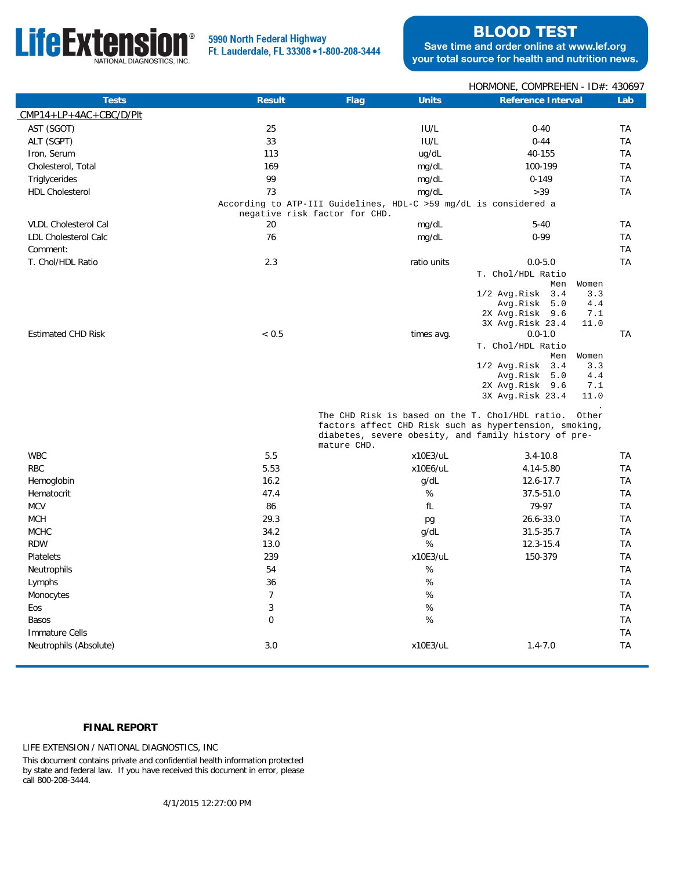

## 5990 North Federal Highway Ft. Lauderdale, FL 33308 . 1-800-208-3444

# **BLOOD TEST**

Save time and order online at www.lef.org your total source for health and nutrition news.

|                             |                               |                                                                  | HORMONE, COMPREHEN - ID#: 430697                                                                                                                                  |                                                 |
|-----------------------------|-------------------------------|------------------------------------------------------------------|-------------------------------------------------------------------------------------------------------------------------------------------------------------------|-------------------------------------------------|
| <b>Tests</b>                | Result                        | Flag<br><b>Units</b>                                             | Reference Interval                                                                                                                                                | Lab                                             |
| $CMP14+LP+4AC+CBC/D/Plt$    |                               |                                                                  |                                                                                                                                                                   |                                                 |
| AST (SGOT)                  | 25                            | IUI/L                                                            | $0 - 40$                                                                                                                                                          | ТA                                              |
| ALT (SGPT)                  | 33                            | IU/L                                                             | $0 - 44$                                                                                                                                                          | <b>TA</b>                                       |
| Iron, Serum                 | 113                           | ug/dL                                                            | 40-155                                                                                                                                                            | TA                                              |
| Cholesterol, Total          | 169                           | mg/dL                                                            | 100-199                                                                                                                                                           | TA                                              |
| Triglycerides               | 99                            | mg/dL                                                            | $0 - 149$                                                                                                                                                         | TA                                              |
| <b>HDL Cholesterol</b>      | 73                            | mg/dL                                                            | >39                                                                                                                                                               | <b>TA</b>                                       |
|                             | negative risk factor for CHD. | According to ATP-III Guidelines, HDL-C >59 mg/dL is considered a |                                                                                                                                                                   |                                                 |
| <b>VLDL Cholesterol Cal</b> | 20                            | mg/dL                                                            | $5 - 40$                                                                                                                                                          | <b>TA</b>                                       |
| <b>LDL Cholesterol Calc</b> | 76                            | mg/dL                                                            | $0 - 99$                                                                                                                                                          | TA                                              |
| Comment:                    |                               |                                                                  |                                                                                                                                                                   | <b>TA</b>                                       |
| T. Chol/HDL Ratio           | 2.3                           | ratio units                                                      | $0.0 - 5.0$                                                                                                                                                       | <b>TA</b>                                       |
|                             |                               |                                                                  | T. Chol/HDL Ratio<br>Men<br>3.4<br>$1/2$ Avg. Risk<br>Avg.Risk<br>5.0<br>2X Avg.Risk 9.6<br>3X Avg.Risk 23.4                                                      | Women<br>3.3<br>4.4<br>7.1<br>11.0              |
| <b>Estimated CHD Risk</b>   | < 0.5                         | times avg.                                                       | $0.0 - 1.0$<br>T. Chol/HDL Ratio<br>Men<br>3.4<br>1/2 Avg.Risk<br>Avg.Risk<br>5.0<br>2X Avg.Risk 9.6<br>3X Avg.Risk 23.4                                          | <b>TA</b><br>Women<br>3.3<br>4.4<br>7.1<br>11.0 |
|                             |                               | mature CHD.                                                      | The CHD Risk is based on the T. Chol/HDL ratio.<br>factors affect CHD Risk such as hypertension, smoking,<br>diabetes, severe obesity, and family history of pre- | Other                                           |
| <b>WBC</b>                  | 5.5                           | x10E3/uL                                                         | $3.4 - 10.8$                                                                                                                                                      | <b>TA</b>                                       |
| <b>RBC</b>                  | 5.53                          | x10E6/uL                                                         | 4.14-5.80                                                                                                                                                         | TA                                              |
| Hemoglobin                  | 16.2                          | g/dL                                                             | 12.6-17.7                                                                                                                                                         | <b>TA</b>                                       |
| Hematocrit                  | 47.4                          | %                                                                | 37.5-51.0                                                                                                                                                         | <b>TA</b>                                       |
| <b>MCV</b>                  | 86                            | fL                                                               | 79-97                                                                                                                                                             | TA                                              |
| <b>MCH</b>                  | 29.3                          | pg                                                               | 26.6-33.0                                                                                                                                                         | <b>TA</b>                                       |
| <b>MCHC</b>                 | 34.2                          | q/dL                                                             | $31.5 - 35.7$                                                                                                                                                     | ТA                                              |
| <b>RDW</b>                  | 13.0                          | %                                                                | $12.3 - 15.4$                                                                                                                                                     | <b>TA</b>                                       |
| Platelets                   | 239                           | x10E3/uL                                                         | 150-379                                                                                                                                                           | TA                                              |
| Neutrophils                 | 54                            | $\%$                                                             |                                                                                                                                                                   | TA                                              |
| Lymphs                      | 36                            | %                                                                |                                                                                                                                                                   | <b>TA</b>                                       |
| Monocytes                   | $\overline{7}$                | $\%$                                                             |                                                                                                                                                                   | TA                                              |
| Eos                         | 3                             | $\%$                                                             |                                                                                                                                                                   | TA                                              |
| Basos                       | 0                             | $\%$                                                             |                                                                                                                                                                   | ТA                                              |
| <b>Immature Cells</b>       |                               |                                                                  |                                                                                                                                                                   | <b>TA</b>                                       |
| Neutrophils (Absolute)      | 3.0                           | x10E3/uL                                                         | $1.4 - 7.0$                                                                                                                                                       | <b>TA</b>                                       |

### **FINAL REPORT**

LIFE EXTENSION / NATIONAL DIAGNOSTICS, INC

This document contains private and confidential health information protected by state and federal law. If you have received this document in error, please call 800-208-3444.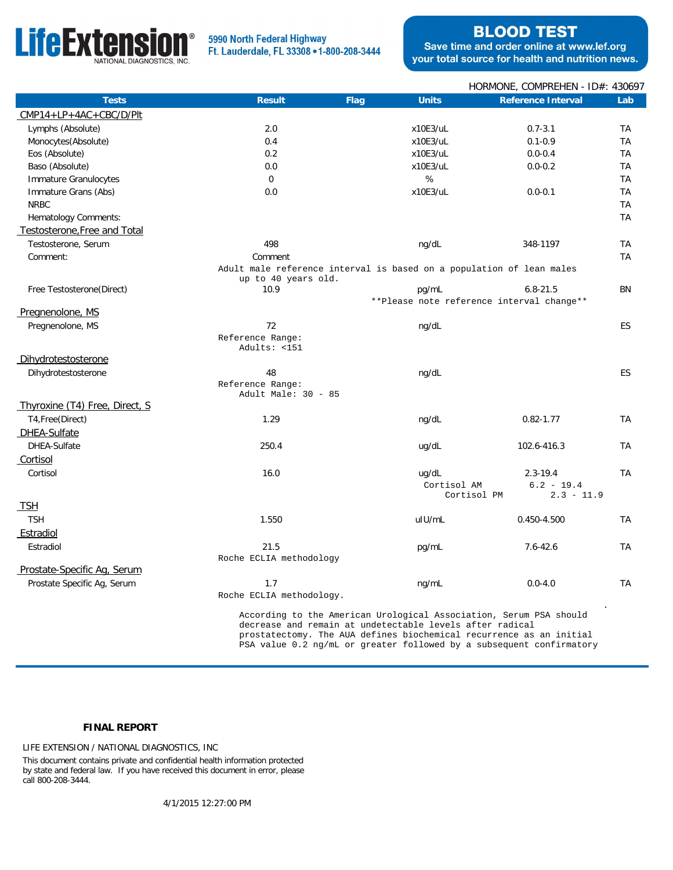

### 5990 North Federal Highway Ft. Lauderdale, FL 33308 . 1-800-208-3444

## **BLOOD TEST**

Save time and order online at www.lef.org your total source for health and nutrition news.

|                                |                                                                      |      |                                                          | HORMONE, COMPREHEN - ID#: 430697                                   |           |
|--------------------------------|----------------------------------------------------------------------|------|----------------------------------------------------------|--------------------------------------------------------------------|-----------|
| <b>Tests</b>                   | Result                                                               | Flag | <b>Units</b>                                             | Reference Interval                                                 | Lab       |
| $CMP14+LP+4AC+CBC/D/Plt$       |                                                                      |      |                                                          |                                                                    |           |
| Lymphs (Absolute)              | 2.0                                                                  |      | x10E3/uL                                                 | $0.7 - 3.1$                                                        | TA        |
| Monocytes(Absolute)            | 0.4                                                                  |      | x10E3/uL                                                 | $0.1 - 0.9$                                                        | TA        |
| Eos (Absolute)                 | 0.2                                                                  |      | x10E3/uL                                                 | $0.0 - 0.4$                                                        | TA        |
| Baso (Absolute)                | 0.0                                                                  |      | x10E3/uL                                                 | $0.0 - 0.2$                                                        | TA        |
| Immature Granulocytes          | $\mathbf 0$                                                          |      | %                                                        |                                                                    | <b>TA</b> |
| Immature Grans (Abs)           | 0.0                                                                  |      | x10E3/uL                                                 | $0.0 - 0.1$                                                        | TA        |
| <b>NRBC</b>                    |                                                                      |      |                                                          |                                                                    | <b>TA</b> |
| Hematology Comments:           |                                                                      |      |                                                          |                                                                    | <b>TA</b> |
| Testosterone, Free and Total   |                                                                      |      |                                                          |                                                                    |           |
| Testosterone, Serum            | 498                                                                  |      | ng/dL                                                    | 348-1197                                                           | TA        |
| Comment:                       | Comment                                                              |      |                                                          |                                                                    | <b>TA</b> |
|                                | Adult male reference interval is based on a population of lean males |      |                                                          |                                                                    |           |
|                                | up to 40 years old.                                                  |      |                                                          |                                                                    |           |
| Free Testosterone (Direct)     | 10.9                                                                 |      | pg/mL                                                    | $6.8 - 21.5$<br>**Please note reference interval change**          | BN        |
| Pregnenolone, MS               |                                                                      |      |                                                          |                                                                    |           |
| Pregnenolone, MS               | 72                                                                   |      | ng/dL                                                    |                                                                    | ES        |
|                                | Reference Range:                                                     |      |                                                          |                                                                    |           |
|                                | Adults: <151                                                         |      |                                                          |                                                                    |           |
| Dihydrotestosterone            |                                                                      |      |                                                          |                                                                    |           |
| Dihydrotestosterone            | 48                                                                   |      | ng/dL                                                    |                                                                    | ES.       |
|                                | Reference Range:                                                     |      |                                                          |                                                                    |           |
|                                | Adult Male: 30 - 85                                                  |      |                                                          |                                                                    |           |
| Thyroxine (T4) Free, Direct, S |                                                                      |      |                                                          |                                                                    |           |
| T4, Free (Direct)              | 1.29                                                                 |      | ng/dL                                                    | $0.82 - 1.77$                                                      | <b>TA</b> |
| DHEA-Sulfate                   |                                                                      |      |                                                          |                                                                    |           |
| DHEA-Sulfate                   | 250.4                                                                |      | ug/dL                                                    | 102.6-416.3                                                        | TA        |
| Cortisol                       |                                                                      |      |                                                          |                                                                    |           |
| Cortisol                       | 16.0                                                                 |      | ug/dL                                                    | $2.3 - 19.4$                                                       | TA        |
|                                |                                                                      |      | Cortisol AM<br>Cortisol PM                               | $6.2 - 19.4$<br>$2.3 - 11.9$                                       |           |
| TSH                            |                                                                      |      |                                                          |                                                                    |           |
| <b>TSH</b>                     | 1.550                                                                |      | uIU/mL                                                   | 0.450-4.500                                                        | <b>TA</b> |
| Estradiol                      |                                                                      |      |                                                          |                                                                    |           |
| Estradiol                      | 21.5                                                                 |      | pg/mL                                                    | $7.6 - 42.6$                                                       | <b>TA</b> |
|                                | Roche ECLIA methodology                                              |      |                                                          |                                                                    |           |
| Prostate-Specific Ag, Serum    |                                                                      |      |                                                          |                                                                    |           |
| Prostate Specific Aq, Serum    | 1.7                                                                  |      | ng/mL                                                    | $0.0 - 4.0$                                                        | <b>TA</b> |
|                                | Roche ECLIA methodology.                                             |      |                                                          |                                                                    |           |
|                                |                                                                      |      |                                                          |                                                                    |           |
|                                |                                                                      |      | decrease and remain at undetectable levels after radical | According to the American Urological Association, Serum PSA should |           |

 prostatectomy. The AUA defines biochemical recurrence as an initial PSA value 0.2 ng/mL or greater followed by a subsequent confirmatory

### **FINAL REPORT**

LIFE EXTENSION / NATIONAL DIAGNOSTICS, INC

This document contains private and confidential health information protected by state and federal law. If you have received this document in error, please call 800-208-3444.